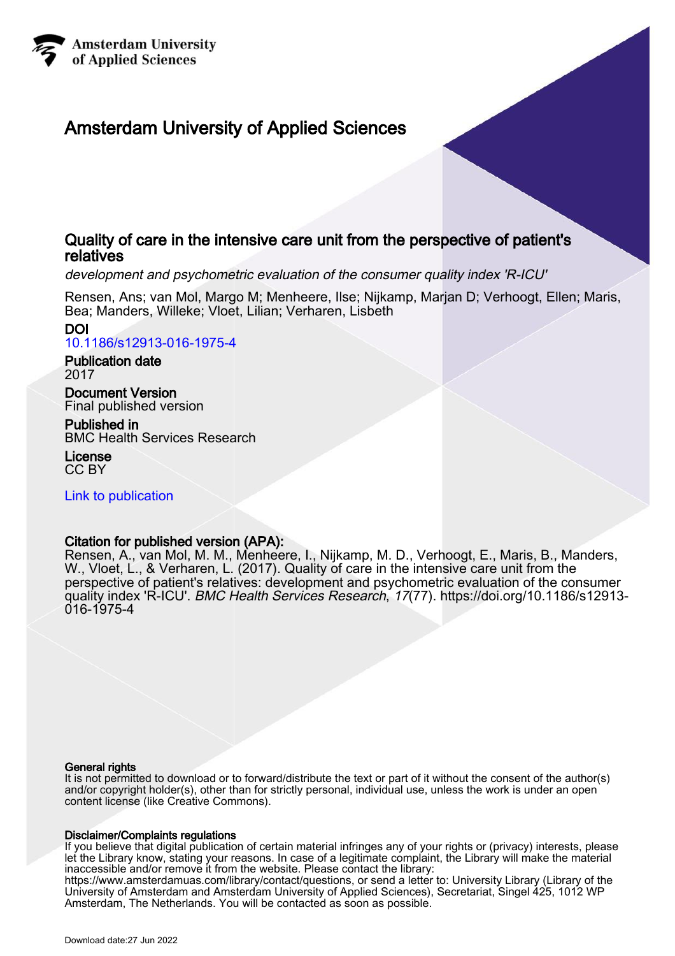

# Amsterdam University of Applied Sciences

# Quality of care in the intensive care unit from the perspective of patient's relatives

development and psychometric evaluation of the consumer quality index 'R-ICU'

Rensen, Ans; van Mol, Margo M; Menheere, Ilse; Nijkamp, Marjan D; Verhoogt, Ellen; Maris, Bea; Manders, Willeke; Vloet, Lilian; Verharen, Lisbeth

DOI [10.1186/s12913-016-1975-4](https://doi.org/10.1186/s12913-016-1975-4)

Publication date 2017

Document Version Final published version

Published in BMC Health Services Research

License CC BY

[Link to publication](https://research.hva.nl/en/publications/786ed8fa-3b80-4eb4-acd0-a285feb0d636)

# Citation for published version (APA):

Rensen, A., van Mol, M. M., Menheere, I., Nijkamp, M. D., Verhoogt, E., Maris, B., Manders, W., Vloet, L., & Verharen, L. (2017). Quality of care in the intensive care unit from the perspective of patient's relatives: development and psychometric evaluation of the consumer quality index 'R-ICU'. BMC Health Services Research, 17(77). [https://doi.org/10.1186/s12913-](https://doi.org/10.1186/s12913-016-1975-4) [016-1975-4](https://doi.org/10.1186/s12913-016-1975-4)

# General rights

It is not permitted to download or to forward/distribute the text or part of it without the consent of the author(s) and/or copyright holder(s), other than for strictly personal, individual use, unless the work is under an open content license (like Creative Commons).

# Disclaimer/Complaints regulations

If you believe that digital publication of certain material infringes any of your rights or (privacy) interests, please let the Library know, stating your reasons. In case of a legitimate complaint, the Library will make the material inaccessible and/or remove it from the website. Please contact the library: https://www.amsterdamuas.com/library/contact/questions, or send a letter to: University Library (Library of the University of Amsterdam and Amsterdam University of Applied Sciences), Secretariat, Singel 425, 1012 WP Amsterdam, The Netherlands. You will be contacted as soon as possible.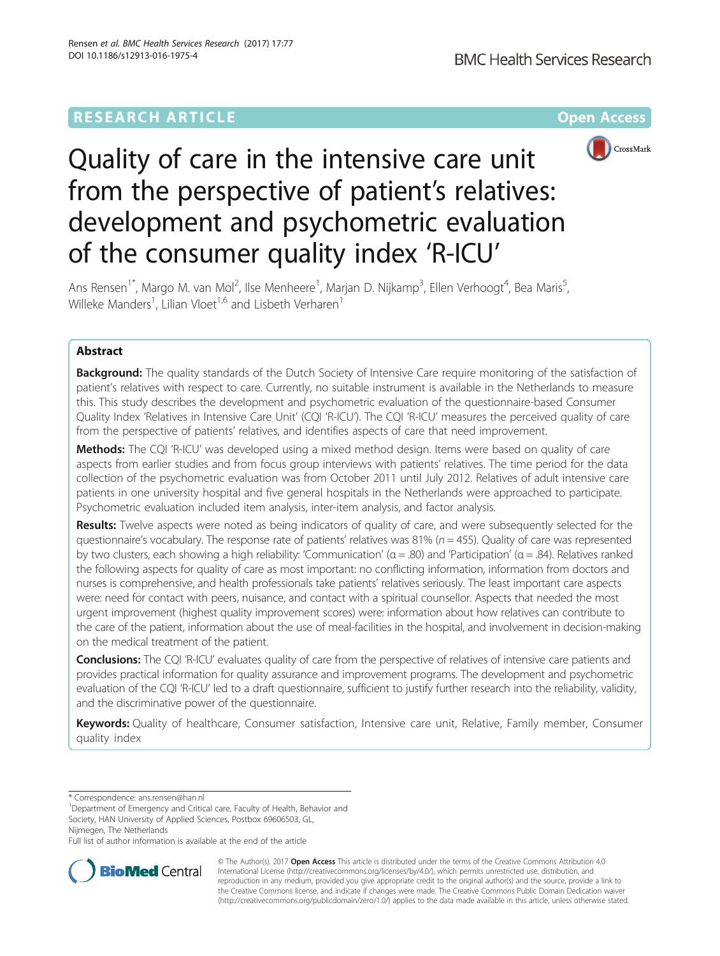# **RESEARCH ARTICLE Example 2014 12:30 The Community Community Community Community Community Community Community**



# Quality of care in the intensive care unit from the perspective of patient's relatives: development and psychometric evaluation of the consumer quality index 'R-ICU'

Ans Rensen<sup>1\*</sup>, Margo M. van Mol<sup>2</sup>, Ilse Menheere<sup>1</sup>, Marjan D. Nijkamp<sup>3</sup>, Ellen Verhoogt<sup>4</sup>, Bea Maris<sup>5</sup> , Willeke Manders<sup>1</sup>, Lilian Vloet<sup>1,6</sup> and Lisbeth Verharen<sup>1</sup>

# Abstract

**Background:** The quality standards of the Dutch Society of Intensive Care require monitoring of the satisfaction of patient's relatives with respect to care. Currently, no suitable instrument is available in the Netherlands to measure this. This study describes the development and psychometric evaluation of the questionnaire-based Consumer Quality Index 'Relatives in Intensive Care Unit' (CQI 'R-ICU'). The CQI 'R-ICU' measures the perceived quality of care from the perspective of patients' relatives, and identifies aspects of care that need improvement.

Methods: The CQI 'R-ICU' was developed using a mixed method design. Items were based on quality of care aspects from earlier studies and from focus group interviews with patients' relatives. The time period for the data collection of the psychometric evaluation was from October 2011 until July 2012. Relatives of adult intensive care patients in one university hospital and five general hospitals in the Netherlands were approached to participate. Psychometric evaluation included item analysis, inter-item analysis, and factor analysis.

Results: Twelve aspects were noted as being indicators of quality of care, and were subsequently selected for the questionnaire's vocabulary. The response rate of patients' relatives was 81% ( $n = 455$ ). Quality of care was represented by two clusters, each showing a high reliability: 'Communication' ( $\alpha$  = .80) and 'Participation' ( $\alpha$  = .84). Relatives ranked the following aspects for quality of care as most important: no conflicting information, information from doctors and nurses is comprehensive, and health professionals take patients' relatives seriously. The least important care aspects were: need for contact with peers, nuisance, and contact with a spiritual counsellor. Aspects that needed the most urgent improvement (highest quality improvement scores) were: information about how relatives can contribute to the care of the patient, information about the use of meal-facilities in the hospital, and involvement in decision-making on the medical treatment of the patient.

Conclusions: The CQI 'R-ICU' evaluates quality of care from the perspective of relatives of intensive care patients and provides practical information for quality assurance and improvement programs. The development and psychometric evaluation of the CQI 'R-ICU' led to a draft questionnaire, sufficient to justify further research into the reliability, validity, and the discriminative power of the questionnaire.

Keywords: Quality of healthcare, Consumer satisfaction, Intensive care unit, Relative, Family member, Consumer quality index

\* Correspondence: [ans.rensen@han.nl](mailto:ans.rensen@han.nl) <sup>1</sup>

<sup>1</sup>Department of Emergency and Critical care, Faculty of Health, Behavior and Society, HAN University of Applied Sciences, Postbox 69606503, GL, Nijmegen, The Netherlands

Full list of author information is available at the end of the article



© The Author(s). 2017 **Open Access** This article is distributed under the terms of the Creative Commons Attribution 4.0 International License [\(http://creativecommons.org/licenses/by/4.0/](http://creativecommons.org/licenses/by/4.0/)), which permits unrestricted use, distribution, and reproduction in any medium, provided you give appropriate credit to the original author(s) and the source, provide a link to the Creative Commons license, and indicate if changes were made. The Creative Commons Public Domain Dedication waiver [\(http://creativecommons.org/publicdomain/zero/1.0/](http://creativecommons.org/publicdomain/zero/1.0/)) applies to the data made available in this article, unless otherwise stated.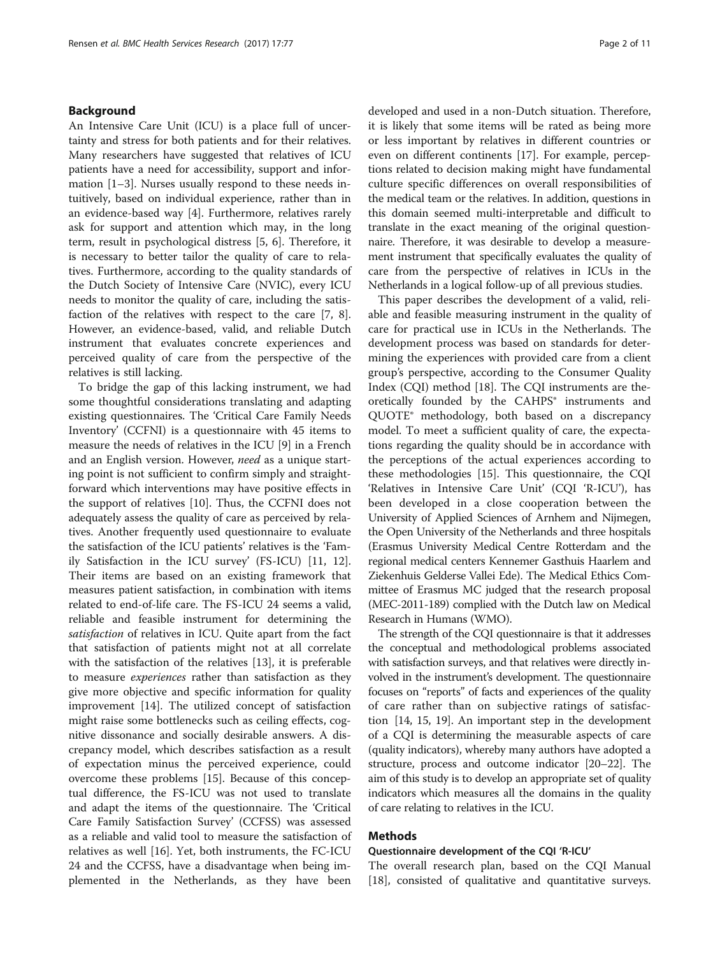# Background

An Intensive Care Unit (ICU) is a place full of uncertainty and stress for both patients and for their relatives. Many researchers have suggested that relatives of ICU patients have a need for accessibility, support and information [\[1](#page-10-0)–[3\]](#page-10-0). Nurses usually respond to these needs intuitively, based on individual experience, rather than in an evidence-based way [\[4](#page-10-0)]. Furthermore, relatives rarely ask for support and attention which may, in the long term, result in psychological distress [[5, 6](#page-10-0)]. Therefore, it is necessary to better tailor the quality of care to relatives. Furthermore, according to the quality standards of the Dutch Society of Intensive Care (NVIC), every ICU needs to monitor the quality of care, including the satisfaction of the relatives with respect to the care [[7, 8](#page-10-0)]. However, an evidence-based, valid, and reliable Dutch instrument that evaluates concrete experiences and perceived quality of care from the perspective of the relatives is still lacking.

To bridge the gap of this lacking instrument, we had some thoughtful considerations translating and adapting existing questionnaires. The 'Critical Care Family Needs Inventory' (CCFNI) is a questionnaire with 45 items to measure the needs of relatives in the ICU [\[9\]](#page-10-0) in a French and an English version. However, need as a unique starting point is not sufficient to confirm simply and straightforward which interventions may have positive effects in the support of relatives [[10\]](#page-10-0). Thus, the CCFNI does not adequately assess the quality of care as perceived by relatives. Another frequently used questionnaire to evaluate the satisfaction of the ICU patients' relatives is the 'Family Satisfaction in the ICU survey' (FS-ICU) [\[11, 12](#page-10-0)]. Their items are based on an existing framework that measures patient satisfaction, in combination with items related to end-of-life care. The FS-ICU 24 seems a valid, reliable and feasible instrument for determining the satisfaction of relatives in ICU. Quite apart from the fact that satisfaction of patients might not at all correlate with the satisfaction of the relatives [[13\]](#page-10-0), it is preferable to measure experiences rather than satisfaction as they give more objective and specific information for quality improvement [\[14](#page-10-0)]. The utilized concept of satisfaction might raise some bottlenecks such as ceiling effects, cognitive dissonance and socially desirable answers. A discrepancy model, which describes satisfaction as a result of expectation minus the perceived experience, could overcome these problems [\[15\]](#page-10-0). Because of this conceptual difference, the FS-ICU was not used to translate and adapt the items of the questionnaire. The 'Critical Care Family Satisfaction Survey' (CCFSS) was assessed as a reliable and valid tool to measure the satisfaction of relatives as well [[16](#page-10-0)]. Yet, both instruments, the FC-ICU 24 and the CCFSS, have a disadvantage when being implemented in the Netherlands, as they have been

developed and used in a non-Dutch situation. Therefore, it is likely that some items will be rated as being more or less important by relatives in different countries or even on different continents [[17](#page-10-0)]. For example, perceptions related to decision making might have fundamental culture specific differences on overall responsibilities of the medical team or the relatives. In addition, questions in this domain seemed multi-interpretable and difficult to translate in the exact meaning of the original questionnaire. Therefore, it was desirable to develop a measurement instrument that specifically evaluates the quality of care from the perspective of relatives in ICUs in the Netherlands in a logical follow-up of all previous studies.

This paper describes the development of a valid, reliable and feasible measuring instrument in the quality of care for practical use in ICUs in the Netherlands. The development process was based on standards for determining the experiences with provided care from a client group's perspective, according to the Consumer Quality Index (CQI) method [[18\]](#page-10-0). The CQI instruments are theoretically founded by the CAHPS® instruments and QUOTE® methodology, both based on a discrepancy model. To meet a sufficient quality of care, the expectations regarding the quality should be in accordance with the perceptions of the actual experiences according to these methodologies [\[15\]](#page-10-0). This questionnaire, the CQI 'Relatives in Intensive Care Unit' (CQI 'R-ICU'), has been developed in a close cooperation between the University of Applied Sciences of Arnhem and Nijmegen, the Open University of the Netherlands and three hospitals (Erasmus University Medical Centre Rotterdam and the regional medical centers Kennemer Gasthuis Haarlem and Ziekenhuis Gelderse Vallei Ede). The Medical Ethics Committee of Erasmus MC judged that the research proposal (MEC-2011-189) complied with the Dutch law on Medical Research in Humans (WMO).

The strength of the CQI questionnaire is that it addresses the conceptual and methodological problems associated with satisfaction surveys, and that relatives were directly involved in the instrument's development. The questionnaire focuses on "reports" of facts and experiences of the quality of care rather than on subjective ratings of satisfaction [\[14](#page-10-0), [15, 19](#page-10-0)]. An important step in the development of a CQI is determining the measurable aspects of care (quality indicators), whereby many authors have adopted a structure, process and outcome indicator [\[20](#page-10-0)–[22](#page-10-0)]. The aim of this study is to develop an appropriate set of quality indicators which measures all the domains in the quality of care relating to relatives in the ICU.

# Methods

# Questionnaire development of the CQI 'R-ICU'

The overall research plan, based on the CQI Manual [[18\]](#page-10-0), consisted of qualitative and quantitative surveys.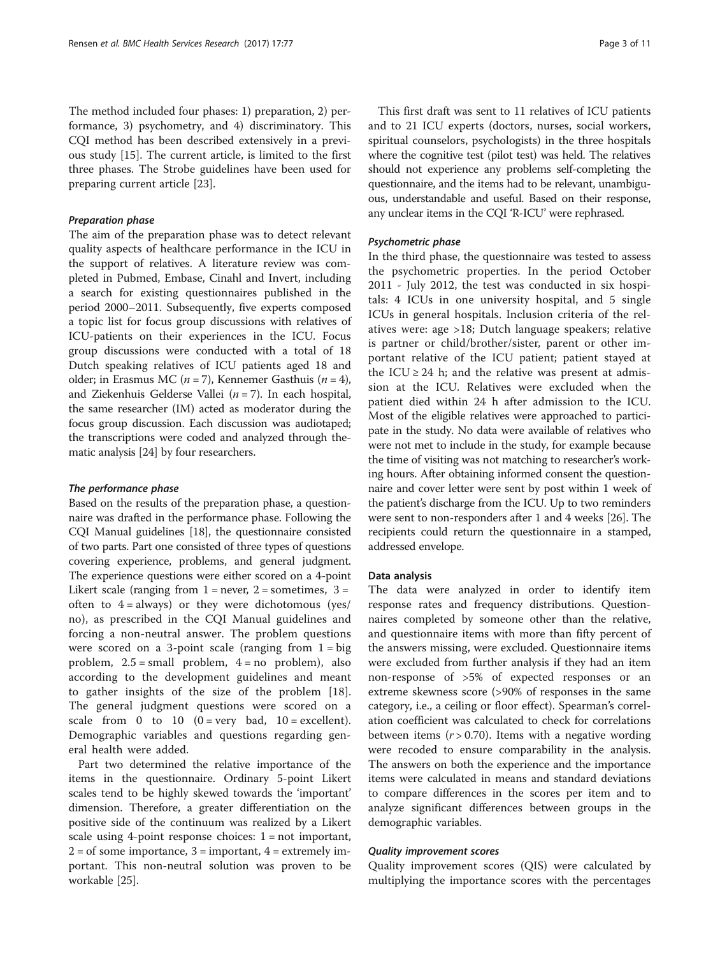The method included four phases: 1) preparation, 2) performance, 3) psychometry, and 4) discriminatory. This CQI method has been described extensively in a previous study [[15](#page-10-0)]. The current article, is limited to the first three phases. The Strobe guidelines have been used for preparing current article [\[23\]](#page-10-0).

# Preparation phase

The aim of the preparation phase was to detect relevant quality aspects of healthcare performance in the ICU in the support of relatives. A literature review was completed in Pubmed, Embase, Cinahl and Invert, including a search for existing questionnaires published in the period 2000–2011. Subsequently, five experts composed a topic list for focus group discussions with relatives of ICU-patients on their experiences in the ICU. Focus group discussions were conducted with a total of 18 Dutch speaking relatives of ICU patients aged 18 and older; in Erasmus MC ( $n = 7$ ), Kennemer Gasthuis ( $n = 4$ ), and Ziekenhuis Gelderse Vallei ( $n = 7$ ). In each hospital, the same researcher (IM) acted as moderator during the focus group discussion. Each discussion was audiotaped; the transcriptions were coded and analyzed through thematic analysis [[24\]](#page-10-0) by four researchers.

#### The performance phase

Based on the results of the preparation phase, a questionnaire was drafted in the performance phase. Following the CQI Manual guidelines [[18](#page-10-0)], the questionnaire consisted of two parts. Part one consisted of three types of questions covering experience, problems, and general judgment. The experience questions were either scored on a 4-point Likert scale (ranging from  $1 =$  never,  $2 =$  sometimes,  $3 =$ often to  $4 = always$  or they were dichotomous (yes/ no), as prescribed in the CQI Manual guidelines and forcing a non-neutral answer. The problem questions were scored on a 3-point scale (ranging from  $1 = big$ problem,  $2.5 = \text{small problem}$ ,  $4 = \text{no problem}$ , also according to the development guidelines and meant to gather insights of the size of the problem [\[18](#page-10-0)]. The general judgment questions were scored on a scale from 0 to 10  $(0 = \text{very bad}, 10 = \text{excellent}).$ Demographic variables and questions regarding general health were added.

Part two determined the relative importance of the items in the questionnaire. Ordinary 5-point Likert scales tend to be highly skewed towards the 'important' dimension. Therefore, a greater differentiation on the positive side of the continuum was realized by a Likert scale using 4-point response choices:  $1 = not important$ ,  $2 =$  of some importance,  $3 =$  important,  $4 =$  extremely important. This non-neutral solution was proven to be workable [[25\]](#page-10-0).

This first draft was sent to 11 relatives of ICU patients and to 21 ICU experts (doctors, nurses, social workers, spiritual counselors, psychologists) in the three hospitals where the cognitive test (pilot test) was held. The relatives should not experience any problems self-completing the questionnaire, and the items had to be relevant, unambiguous, understandable and useful. Based on their response, any unclear items in the CQI 'R-ICU' were rephrased.

# Psychometric phase

In the third phase, the questionnaire was tested to assess the psychometric properties. In the period October 2011 - July 2012, the test was conducted in six hospitals: 4 ICUs in one university hospital, and 5 single ICUs in general hospitals. Inclusion criteria of the relatives were: age >18; Dutch language speakers; relative is partner or child/brother/sister, parent or other important relative of the ICU patient; patient stayed at the ICU  $\geq$  24 h; and the relative was present at admission at the ICU. Relatives were excluded when the patient died within 24 h after admission to the ICU. Most of the eligible relatives were approached to participate in the study. No data were available of relatives who were not met to include in the study, for example because the time of visiting was not matching to researcher's working hours. After obtaining informed consent the questionnaire and cover letter were sent by post within 1 week of the patient's discharge from the ICU. Up to two reminders were sent to non-responders after 1 and 4 weeks [\[26\]](#page-10-0). The recipients could return the questionnaire in a stamped, addressed envelope.

#### Data analysis

The data were analyzed in order to identify item response rates and frequency distributions. Questionnaires completed by someone other than the relative, and questionnaire items with more than fifty percent of the answers missing, were excluded. Questionnaire items were excluded from further analysis if they had an item non-response of >5% of expected responses or an extreme skewness score (>90% of responses in the same category, i.e., a ceiling or floor effect). Spearman's correlation coefficient was calculated to check for correlations between items  $(r > 0.70)$ . Items with a negative wording were recoded to ensure comparability in the analysis. The answers on both the experience and the importance items were calculated in means and standard deviations to compare differences in the scores per item and to analyze significant differences between groups in the demographic variables.

# Quality improvement scores

Quality improvement scores (QIS) were calculated by multiplying the importance scores with the percentages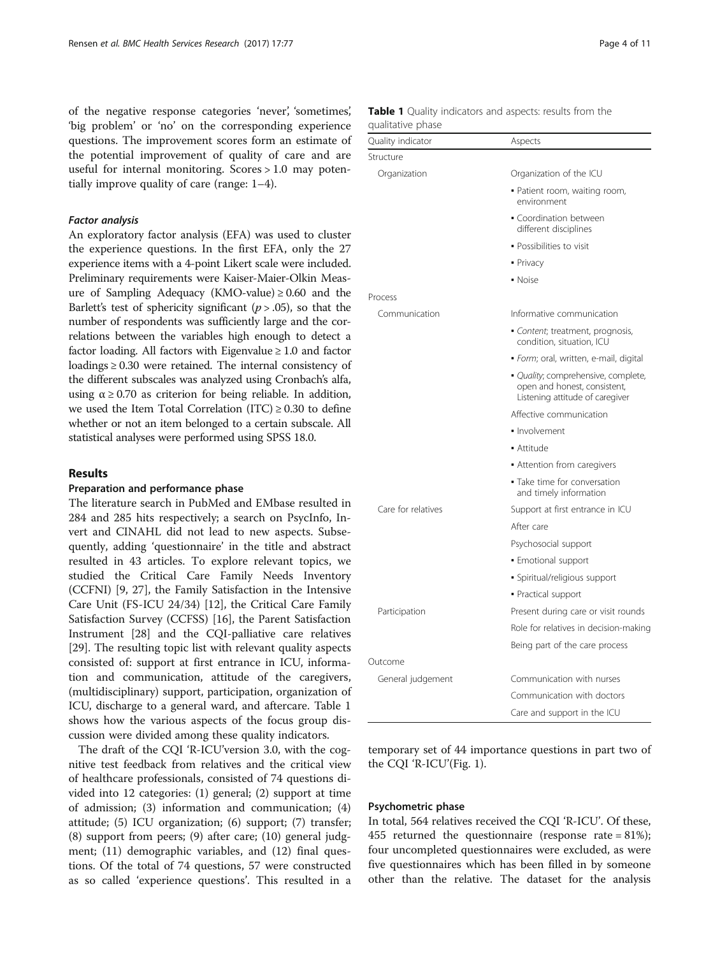of the negative response categories 'never', 'sometimes', 'big problem' or 'no' on the corresponding experience questions. The improvement scores form an estimate of the potential improvement of quality of care and are useful for internal monitoring. Scores > 1.0 may potentially improve quality of care (range: 1–4).

# Factor analysis

An exploratory factor analysis (EFA) was used to cluster the experience questions. In the first EFA, only the 27 experience items with a 4-point Likert scale were included. Preliminary requirements were Kaiser-Maier-Olkin Measure of Sampling Adequacy (KMO-value)  $\geq 0.60$  and the Barlett's test of sphericity significant ( $p > .05$ ), so that the number of respondents was sufficiently large and the correlations between the variables high enough to detect a factor loading. All factors with Eigenvalue  $\geq 1.0$  and factor loadings ≥ 0.30 were retained. The internal consistency of the different subscales was analyzed using Cronbach's alfa, using  $\alpha \geq 0.70$  as criterion for being reliable. In addition, we used the Item Total Correlation (ITC)  $\geq$  0.30 to define whether or not an item belonged to a certain subscale. All statistical analyses were performed using SPSS 18.0.

# Results

# Preparation and performance phase

The literature search in PubMed and EMbase resulted in 284 and 285 hits respectively; a search on PsycInfo, Invert and CINAHL did not lead to new aspects. Subsequently, adding 'questionnaire' in the title and abstract resulted in 43 articles. To explore relevant topics, we studied the Critical Care Family Needs Inventory (CCFNI) [[9, 27](#page-10-0)], the Family Satisfaction in the Intensive Care Unit (FS-ICU 24/34) [\[12](#page-10-0)], the Critical Care Family Satisfaction Survey (CCFSS) [\[16\]](#page-10-0), the Parent Satisfaction Instrument [[28](#page-11-0)] and the CQI-palliative care relatives [[29\]](#page-11-0). The resulting topic list with relevant quality aspects consisted of: support at first entrance in ICU, information and communication, attitude of the caregivers, (multidisciplinary) support, participation, organization of ICU, discharge to a general ward, and aftercare. Table 1 shows how the various aspects of the focus group discussion were divided among these quality indicators.

The draft of the CQI 'R-ICU'version 3.0, with the cognitive test feedback from relatives and the critical view of healthcare professionals, consisted of 74 questions divided into 12 categories: (1) general; (2) support at time of admission; (3) information and communication; (4) attitude; (5) ICU organization; (6) support; (7) transfer; (8) support from peers; (9) after care; (10) general judgment; (11) demographic variables, and (12) final questions. Of the total of 74 questions, 57 were constructed as so called 'experience questions'. This resulted in a

| Quality indicator  | Aspects                                                                                                |
|--------------------|--------------------------------------------------------------------------------------------------------|
| Structure          |                                                                                                        |
| Organization       | Organization of the ICU                                                                                |
|                    | . Patient room, waiting room,<br>environment                                                           |
|                    | • Coordination between<br>different disciplines                                                        |
|                    | · Possibilities to visit                                                                               |
|                    | • Privacy                                                                                              |
|                    | • Noise                                                                                                |
| Process            |                                                                                                        |
| Communication      | Informative communication                                                                              |
|                    | Content; treatment, prognosis,<br>condition, situation, ICU                                            |
|                    | · Form; oral, written, e-mail, digital                                                                 |
|                    | • Quality; comprehensive, complete,<br>open and honest, consistent,<br>Listening attitude of caregiver |
|                    | Affective communication                                                                                |
|                    | · Involvement                                                                                          |
|                    | • Attitude                                                                                             |
|                    | Attention from caregivers                                                                              |
|                    | • Take time for conversation<br>and timely information                                                 |
| Care for relatives | Support at first entrance in ICU                                                                       |
|                    | After care                                                                                             |
|                    | Psychosocial support                                                                                   |
|                    | • Emotional support                                                                                    |
|                    | · Spiritual/religious support                                                                          |
|                    | · Practical support                                                                                    |
| Participation      | Present during care or visit rounds                                                                    |
|                    | Role for relatives in decision-making                                                                  |
|                    | Being part of the care process                                                                         |
| Outcome            |                                                                                                        |
| General judgement  | Communication with nurses                                                                              |

# Table 1 Quality indicators and aspects: results from the qualitative phase

temporary set of 44 importance questions in part two of the CQI 'R-ICU'(Fig. [1](#page-5-0)).

Communication with doctors Care and support in the ICU

## Psychometric phase

In total, 564 relatives received the CQI 'R-ICU'. Of these, 455 returned the questionnaire (response rate = 81%); four uncompleted questionnaires were excluded, as were five questionnaires which has been filled in by someone other than the relative. The dataset for the analysis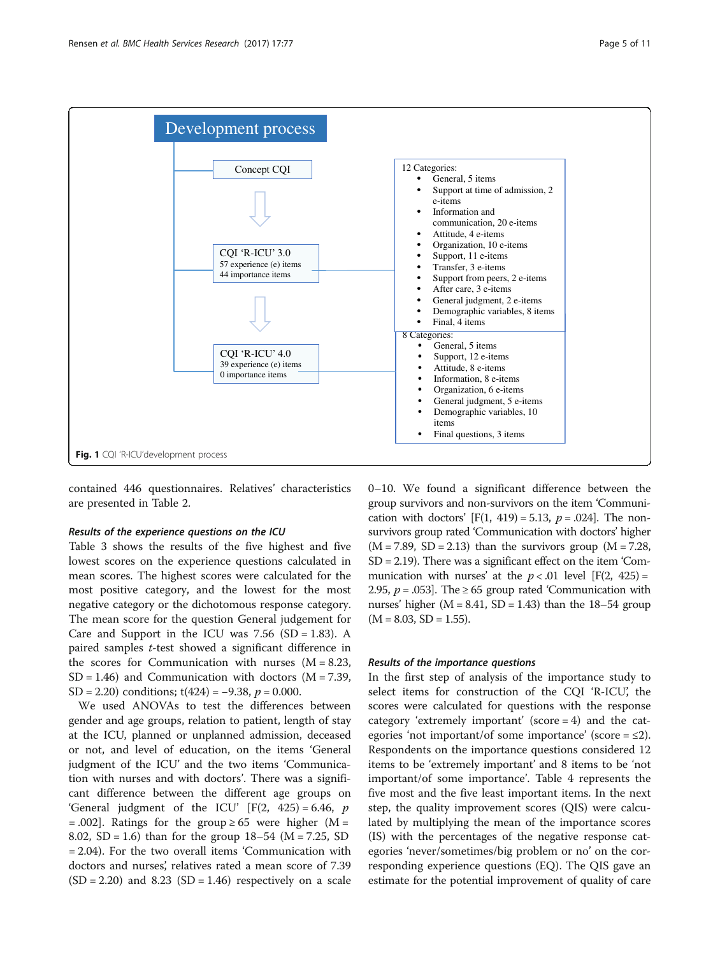<span id="page-5-0"></span>

contained 446 questionnaires. Relatives' characteristics are presented in Table [2.](#page-6-0)

#### Results of the experience questions on the ICU

Table [3](#page-7-0) shows the results of the five highest and five lowest scores on the experience questions calculated in mean scores. The highest scores were calculated for the most positive category, and the lowest for the most negative category or the dichotomous response category. The mean score for the question General judgement for Care and Support in the ICU was  $7.56$  (SD = 1.83). A paired samples t-test showed a significant difference in the scores for Communication with nurses  $(M = 8.23,$  $SD = 1.46$ ) and Communication with doctors (M = 7.39, SD = 2.20) conditions; t(424) =  $-9.38$ ,  $p = 0.000$ .

We used ANOVAs to test the differences between gender and age groups, relation to patient, length of stay at the ICU, planned or unplanned admission, deceased or not, and level of education, on the items 'General judgment of the ICU' and the two items 'Communication with nurses and with doctors'. There was a significant difference between the different age groups on 'General judgment of the ICU'  $[F(2, 425) = 6.46, p$ = .002]. Ratings for the group  $\geq 65$  were higher (M = 8.02, SD = 1.6) than for the group  $18-54$  (M = 7.25, SD = 2.04). For the two overall items 'Communication with doctors and nurses', relatives rated a mean score of 7.39  $(SD = 2.20)$  and  $8.23 (SD = 1.46)$  respectively on a scale 0–10. We found a significant difference between the group survivors and non-survivors on the item 'Communication with doctors'  $[F(1, 419) = 5.13, p = .024]$ . The nonsurvivors group rated 'Communication with doctors' higher  $(M = 7.89, SD = 2.13)$  than the survivors group  $(M = 7.28,$ SD = 2.19). There was a significant effect on the item 'Communication with nurses' at the  $p < .01$  level [F(2, 425) = 2.95,  $p = .053$ . The ≥ 65 group rated 'Communication with nurses' higher  $(M = 8.41, SD = 1.43)$  than the 18–54 group  $(M = 8.03, SD = 1.55).$ 

#### Results of the importance questions

In the first step of analysis of the importance study to select items for construction of the CQI 'R-ICU', the scores were calculated for questions with the response category 'extremely important' (score = 4) and the categories 'not important/of some importance' (score =  $\leq$ 2). Respondents on the importance questions considered 12 items to be 'extremely important' and 8 items to be 'not important/of some importance'. Table [4](#page-7-0) represents the five most and the five least important items. In the next step, the quality improvement scores (QIS) were calculated by multiplying the mean of the importance scores (IS) with the percentages of the negative response categories 'never/sometimes/big problem or no' on the corresponding experience questions (EQ). The QIS gave an estimate for the potential improvement of quality of care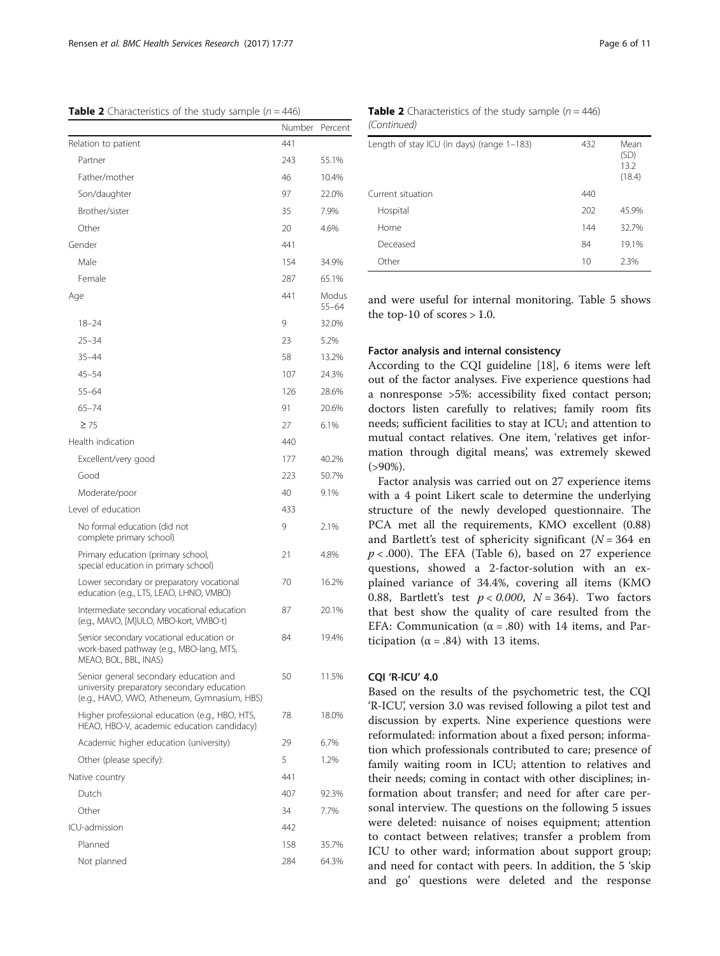<span id="page-6-0"></span>**Table 2** Characteristics of the study sample ( $n = 446$ )

|                                                                                                                                     | Number | Percent            |
|-------------------------------------------------------------------------------------------------------------------------------------|--------|--------------------|
| Relation to patient                                                                                                                 | 441    |                    |
| Partner                                                                                                                             | 243    | 55.1%              |
| Father/mother                                                                                                                       | 46     | 10.4%              |
| Son/daughter                                                                                                                        | 97     | 22.0%              |
| Brother/sister                                                                                                                      | 35     | 7.9%               |
| Other                                                                                                                               | 20     | 4.6%               |
| Gender                                                                                                                              | 441    |                    |
| Male                                                                                                                                | 154    | 34.9%              |
| Female                                                                                                                              | 287    | 65.1%              |
| Age                                                                                                                                 | 441    | Modus<br>$55 - 64$ |
| $18 - 24$                                                                                                                           | 9      | 32.0%              |
| $25 - 34$                                                                                                                           | 23     | 5.2%               |
| $35 - 44$                                                                                                                           | 58     | 13.2%              |
| $45 - 54$                                                                                                                           | 107    | 24.3%              |
| $55 - 64$                                                                                                                           | 126    | 28.6%              |
| $65 - 74$                                                                                                                           | 91     | 20.6%              |
| $\geq 75$                                                                                                                           | 27     | 6.1%               |
| Health indication                                                                                                                   | 440    |                    |
| Excellent/very good                                                                                                                 | 177    | 40.2%              |
| Good                                                                                                                                | 223    | 50.7%              |
| Moderate/poor                                                                                                                       | 40     | 9.1%               |
| Level of education                                                                                                                  | 433    |                    |
| No formal education (did not<br>complete primary school)                                                                            | 9      | 2.1%               |
| Primary education (primary school,<br>special education in primary school)                                                          | 21     | 4.8%               |
| Lower secondary or preparatory vocational<br>education (e.g., LTS, LEAO, LHNO, VMBO)                                                | 70     | 16.2%              |
| Intermediate secondary vocational education<br>(e.g., MAVO, [M]ULO, MBO-kort, VMBO-t)                                               | 87     | 20.1%              |
| Senior secondary vocational education or<br>work-based pathway (e.g., MBO-lang, MTS,<br>MEAO, BOL, BBL, INAS)                       | 84     | 19.4%              |
| Senior general secondary education and<br>university preparatory secondary education<br>(e.g., HAVO, VWO, Atheneum, Gymnasium, HBS) | 50     | 11.5%              |
| Higher professional education (e.g., HBO, HTS,<br>HEAO, HBO-V, academic education candidacy)                                        | 78     | 18.0%              |
| Academic higher education (university)                                                                                              | 29     | 6.7%               |
| Other (please specify):                                                                                                             | 5      | 1.2%               |
| Native country                                                                                                                      | 441    |                    |
| Dutch                                                                                                                               | 407    | 92.3%              |
| Other                                                                                                                               | 34     | 7.7%               |
| ICU-admission                                                                                                                       | 442    |                    |
| Planned                                                                                                                             | 158    | 35.7%              |
| Not planned                                                                                                                         | 284    | 64.3%              |
|                                                                                                                                     |        |                    |

**Table 2** Characteristics of the study sample ( $n = 446$ ) (Continued)

| Length of stay ICU (in days) (range 1-183)<br>432 | Mean<br>(SD)<br>13.2<br>(18.4) |
|---------------------------------------------------|--------------------------------|
| Current situation<br>440                          |                                |
| Hospital<br>202                                   | 45.9%                          |
| Home<br>144                                       | 32.7%                          |
| Deceased<br>84                                    | 19.1%                          |
| Other<br>10                                       | 2.3%                           |

and were useful for internal monitoring. Table [5](#page-8-0) shows the top-10 of scores  $> 1.0$ .

### Factor analysis and internal consistency

According to the CQI guideline [\[18](#page-10-0)], 6 items were left out of the factor analyses. Five experience questions had a nonresponse >5%: accessibility fixed contact person; doctors listen carefully to relatives; family room fits needs; sufficient facilities to stay at ICU; and attention to mutual contact relatives. One item, 'relatives get information through digital means', was extremely skewed  $( > 90\%)$ .

Factor analysis was carried out on 27 experience items with a 4 point Likert scale to determine the underlying structure of the newly developed questionnaire. The PCA met all the requirements, KMO excellent (0.88) and Bartlett's test of sphericity significant ( $N = 364$  en  $p < .000$ ). The EFA (Table [6\)](#page-8-0), based on 27 experience questions, showed a 2-factor-solution with an explained variance of 34.4%, covering all items (KMO 0.88, Bartlett's test  $p < 0.000$ ,  $N = 364$ ). Two factors that best show the quality of care resulted from the EFA: Communication ( $\alpha$  = .80) with 14 items, and Participation ( $\alpha = .84$ ) with 13 items.

# CQI 'R-ICU' 4.0

Based on the results of the psychometric test, the CQI 'R-ICU', version 3.0 was revised following a pilot test and discussion by experts. Nine experience questions were reformulated: information about a fixed person; information which professionals contributed to care; presence of family waiting room in ICU; attention to relatives and their needs; coming in contact with other disciplines; information about transfer; and need for after care personal interview. The questions on the following 5 issues were deleted: nuisance of noises equipment; attention to contact between relatives; transfer a problem from ICU to other ward; information about support group; and need for contact with peers. In addition, the 5 'skip and go' questions were deleted and the response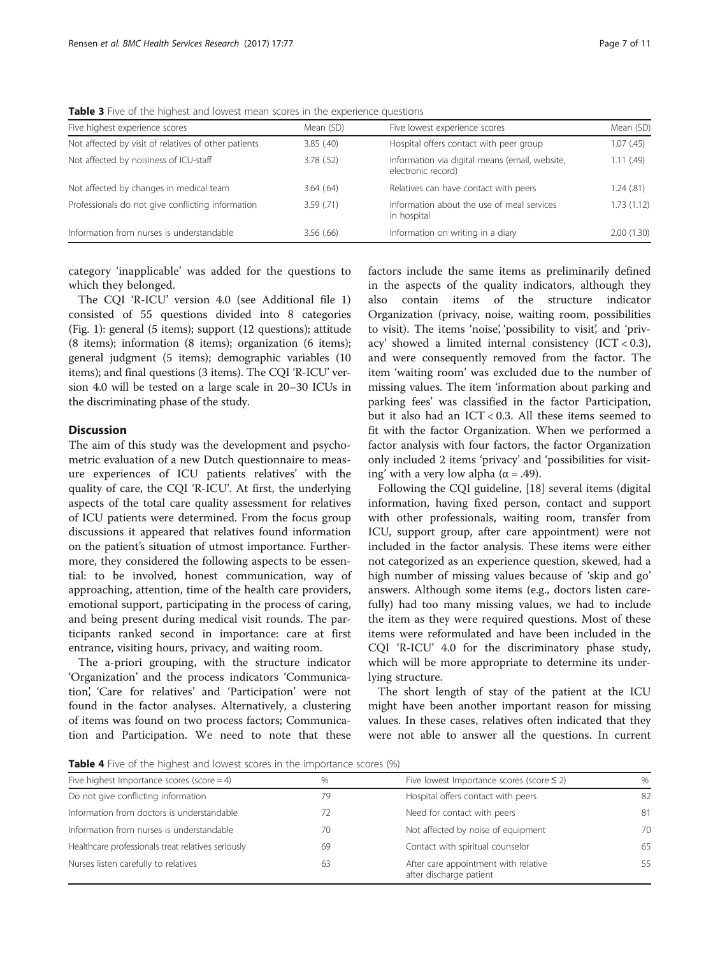<span id="page-7-0"></span>Table 3 Five of the highest and lowest mean scores in the experience questions

|           |                                                                      | Mean (SD)                     |
|-----------|----------------------------------------------------------------------|-------------------------------|
| 3.85(.40) | Hospital offers contact with peer group                              | 1.07(45)                      |
| 3.78(.52) | Information via digital means (email, website,<br>electronic record) | 1.11(.49)                     |
| 3.64(.64) | Relatives can have contact with peers                                | 1.24(.81)                     |
| 3.59(71)  | Information about the use of meal services<br>in hospital            | 1.73(1.12)                    |
| 3.56(.66) | Information on writing in a diary                                    | 2.00(1.30)                    |
|           | Mean (SD)                                                            | Five lowest experience scores |

category 'inapplicable' was added for the questions to which they belonged.

The CQI 'R-ICU' version 4.0 (see Additional file [1](#page-9-0)) consisted of 55 questions divided into 8 categories (Fig. [1](#page-5-0)): general (5 items); support (12 questions); attitude (8 items); information (8 items); organization (6 items); general judgment (5 items); demographic variables (10 items); and final questions (3 items). The CQI 'R-ICU' version 4.0 will be tested on a large scale in 20–30 ICUs in the discriminating phase of the study.

# **Discussion**

The aim of this study was the development and psychometric evaluation of a new Dutch questionnaire to measure experiences of ICU patients relatives' with the quality of care, the CQI 'R-ICU'. At first, the underlying aspects of the total care quality assessment for relatives of ICU patients were determined. From the focus group discussions it appeared that relatives found information on the patient's situation of utmost importance. Furthermore, they considered the following aspects to be essential: to be involved, honest communication, way of approaching, attention, time of the health care providers, emotional support, participating in the process of caring, and being present during medical visit rounds. The participants ranked second in importance: care at first entrance, visiting hours, privacy, and waiting room.

The a-priori grouping, with the structure indicator 'Organization' and the process indicators 'Communication', 'Care for relatives' and 'Participation' were not found in the factor analyses. Alternatively, a clustering of items was found on two process factors; Communication and Participation. We need to note that these factors include the same items as preliminarily defined in the aspects of the quality indicators, although they also contain items of the structure indicator Organization (privacy, noise, waiting room, possibilities to visit). The items 'noise', 'possibility to visit', and 'privacy' showed a limited internal consistency  $(ICT < 0.3)$ , and were consequently removed from the factor. The item 'waiting room' was excluded due to the number of missing values. The item 'information about parking and parking fees' was classified in the factor Participation, but it also had an ICT < 0.3. All these items seemed to fit with the factor Organization. When we performed a factor analysis with four factors, the factor Organization only included 2 items 'privacy' and 'possibilities for visiting' with a very low alpha ( $\alpha$  = .49).

Following the CQI guideline, [\[18\]](#page-10-0) several items (digital information, having fixed person, contact and support with other professionals, waiting room, transfer from ICU, support group, after care appointment) were not included in the factor analysis. These items were either not categorized as an experience question, skewed, had a high number of missing values because of 'skip and go' answers. Although some items (e.g., doctors listen carefully) had too many missing values, we had to include the item as they were required questions. Most of these items were reformulated and have been included in the CQI 'R-ICU' 4.0 for the discriminatory phase study, which will be more appropriate to determine its underlying structure.

The short length of stay of the patient at the ICU might have been another important reason for missing values. In these cases, relatives often indicated that they were not able to answer all the questions. In current

**Table 4** Five of the highest and lowest scores in the importance scores (%)

| Five highest Importance scores (score $=$ 4)       | %  | Five lowest Importance scores (score $\leq$ 2)                  | $\%$ |
|----------------------------------------------------|----|-----------------------------------------------------------------|------|
| Do not give conflicting information                | 79 | Hospital offers contact with peers                              | 82   |
| Information from doctors is understandable         |    | Need for contact with peers                                     | 81   |
| Information from nurses is understandable          | 70 | Not affected by noise of equipment                              | 70   |
| Healthcare professionals treat relatives seriously | 69 | Contact with spiritual counselor                                | 65   |
| Nurses listen carefully to relatives               | 63 | After care appointment with relative<br>after discharge patient | 55   |
|                                                    |    |                                                                 |      |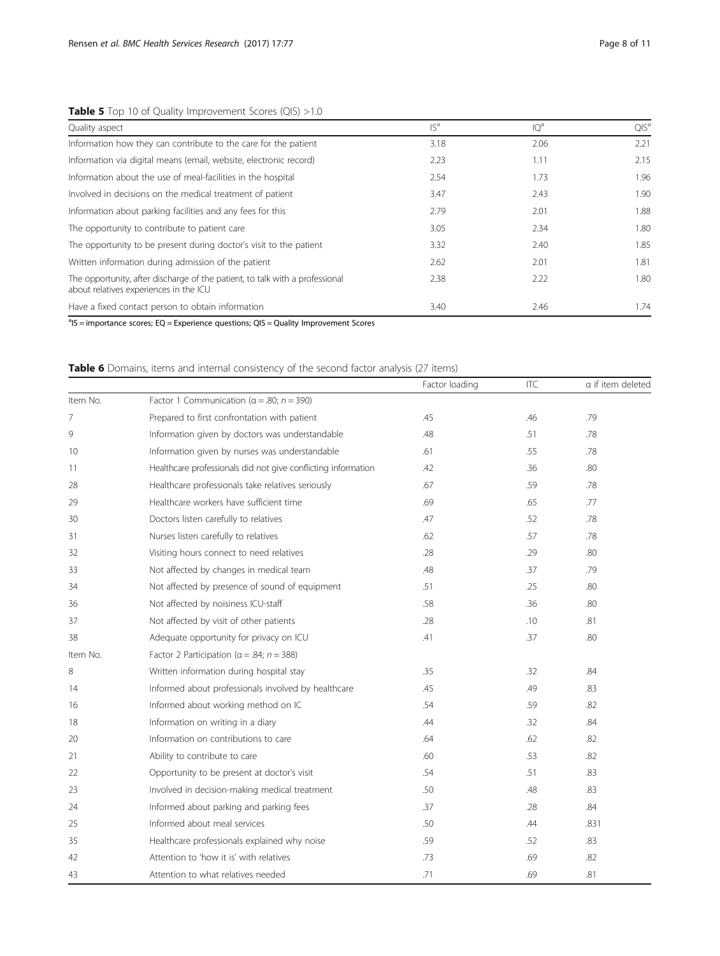# <span id="page-8-0"></span>Table 5 Top 10 of Quality Improvement Scores (QIS) >1.0

| Quality aspect                                                                                                         | $ S^a$ | IQ <sup>a</sup> | $QIS^a$ |
|------------------------------------------------------------------------------------------------------------------------|--------|-----------------|---------|
| Information how they can contribute to the care for the patient                                                        | 3.18   | 2.06            | 2.21    |
| Information via digital means (email, website, electronic record)                                                      | 2.23   | 1.11            | 2.15    |
| Information about the use of meal-facilities in the hospital                                                           | 2.54   | 1.73            | 1.96    |
| Involved in decisions on the medical treatment of patient                                                              | 3.47   | 2.43            | 1.90    |
| Information about parking facilities and any fees for this                                                             | 2.79   | 2.01            | 1.88    |
| The opportunity to contribute to patient care                                                                          | 3.05   | 2.34            | 1.80    |
| The opportunity to be present during doctor's visit to the patient                                                     | 3.32   | 2.40            | 1.85    |
| Written information during admission of the patient                                                                    | 2.62   | 2.01            | 1.81    |
| The opportunity, after discharge of the patient, to talk with a professional<br>about relatives experiences in the ICU | 2.38   | 2.22            | 1.80    |
| Have a fixed contact person to obtain information                                                                      | 3.40   | 2.46            | 1.74    |

<sup>a</sup>IS = importance scores; EQ = Experience questions; QIS = Quality Improvement Scores

# Table 6 Domains, items and internal consistency of the second factor analysis (27 items)

|          |                                                               | Factor loading | ITC | a if item deleted |
|----------|---------------------------------------------------------------|----------------|-----|-------------------|
| Item No. | Factor 1 Communication ( $\alpha$ = .80; n = 390)             |                |     |                   |
| 7        | Prepared to first confrontation with patient                  | .45            | .46 | .79               |
| 9        | Information given by doctors was understandable               | .48            | .51 | .78               |
| 10       | Information given by nurses was understandable                | .61            | .55 | .78               |
| 11       | Healthcare professionals did not give conflicting information | .42            | .36 | .80               |
| 28       | Healthcare professionals take relatives seriously             | .67            | .59 | .78               |
| 29       | Healthcare workers have sufficient time                       | .69            | .65 | .77               |
| 30       | Doctors listen carefully to relatives                         | .47            | .52 | .78               |
| 31       | Nurses listen carefully to relatives                          | .62            | .57 | .78               |
| 32       | Visiting hours connect to need relatives                      | .28            | .29 | .80               |
| 33       | Not affected by changes in medical team                       | .48            | .37 | .79               |
| 34       | Not affected by presence of sound of equipment                | .51            | .25 | .80               |
| 36       | Not affected by noisiness ICU-staff                           | .58            | .36 | .80               |
| 37       | Not affected by visit of other patients                       | .28            | .10 | .81               |
| 38       | Adequate opportunity for privacy on ICU                       | .41            | .37 | .80               |
| Item No. | Factor 2 Participation ( $\alpha$ = .84; $n = 388$ )          |                |     |                   |
| 8        | Written information during hospital stay                      | .35            | .32 | .84               |
| 14       | Informed about professionals involved by healthcare           | .45            | .49 | .83               |
| 16       | Informed about working method on IC                           | .54            | .59 | .82               |
| 18       | Information on writing in a diary                             | .44            | .32 | .84               |
| 20       | Information on contributions to care                          | .64            | .62 | .82               |
| 21       | Ability to contribute to care                                 | .60            | .53 | .82               |
| 22       | Opportunity to be present at doctor's visit                   | .54            | .51 | .83               |
| 23       | Involved in decision-making medical treatment                 | .50            | .48 | .83               |
| 24       | Informed about parking and parking fees                       | .37            | .28 | .84               |
| 25       | Informed about meal services                                  | .50            | .44 | .831              |
| 35       | Healthcare professionals explained why noise                  | .59            | .52 | .83               |
| 42       | Attention to 'how it is' with relatives                       | .73            | .69 | .82               |
| 43       | Attention to what relatives needed                            | .71            | .69 | .81               |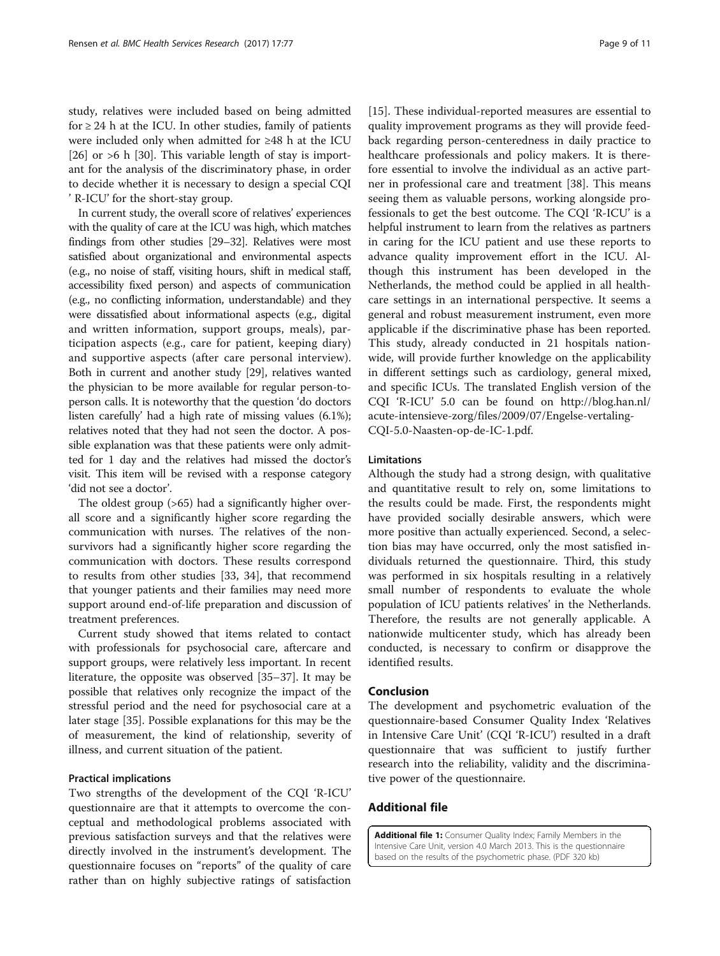<span id="page-9-0"></span>study, relatives were included based on being admitted for  $\geq$  24 h at the ICU. In other studies, family of patients were included only when admitted for ≥48 h at the ICU [[26\]](#page-10-0) or  $>6$  h [\[30](#page-11-0)]. This variable length of stay is important for the analysis of the discriminatory phase, in order to decide whether it is necessary to design a special CQI ' R-ICU' for the short-stay group.

In current study, the overall score of relatives' experiences with the quality of care at the ICU was high, which matches findings from other studies [\[29](#page-11-0)–[32\]](#page-11-0). Relatives were most satisfied about organizational and environmental aspects (e.g., no noise of staff, visiting hours, shift in medical staff, accessibility fixed person) and aspects of communication (e.g., no conflicting information, understandable) and they were dissatisfied about informational aspects (e.g., digital and written information, support groups, meals), participation aspects (e.g., care for patient, keeping diary) and supportive aspects (after care personal interview). Both in current and another study [\[29](#page-11-0)], relatives wanted the physician to be more available for regular person-toperson calls. It is noteworthy that the question 'do doctors listen carefully' had a high rate of missing values (6.1%); relatives noted that they had not seen the doctor. A possible explanation was that these patients were only admitted for 1 day and the relatives had missed the doctor's visit. This item will be revised with a response category 'did not see a doctor'.

The oldest group (>65) had a significantly higher overall score and a significantly higher score regarding the communication with nurses. The relatives of the nonsurvivors had a significantly higher score regarding the communication with doctors. These results correspond to results from other studies [[33, 34\]](#page-11-0), that recommend that younger patients and their families may need more support around end-of-life preparation and discussion of treatment preferences.

Current study showed that items related to contact with professionals for psychosocial care, aftercare and support groups, were relatively less important. In recent literature, the opposite was observed [\[35](#page-11-0)–[37\]](#page-11-0). It may be possible that relatives only recognize the impact of the stressful period and the need for psychosocial care at a later stage [[35](#page-11-0)]. Possible explanations for this may be the of measurement, the kind of relationship, severity of illness, and current situation of the patient.

# Practical implications

Two strengths of the development of the CQI 'R-ICU' questionnaire are that it attempts to overcome the conceptual and methodological problems associated with previous satisfaction surveys and that the relatives were directly involved in the instrument's development. The questionnaire focuses on "reports" of the quality of care rather than on highly subjective ratings of satisfaction [[15\]](#page-10-0). These individual-reported measures are essential to quality improvement programs as they will provide feedback regarding person-centeredness in daily practice to healthcare professionals and policy makers. It is therefore essential to involve the individual as an active partner in professional care and treatment [[38\]](#page-11-0). This means seeing them as valuable persons, working alongside professionals to get the best outcome. The CQI 'R-ICU' is a helpful instrument to learn from the relatives as partners in caring for the ICU patient and use these reports to advance quality improvement effort in the ICU. Although this instrument has been developed in the Netherlands, the method could be applied in all healthcare settings in an international perspective. It seems a general and robust measurement instrument, even more applicable if the discriminative phase has been reported. This study, already conducted in 21 hospitals nationwide, will provide further knowledge on the applicability in different settings such as cardiology, general mixed, and specific ICUs. The translated English version of the CQI 'R-ICU' 5.0 can be found on [http://blog.han.nl/](http://blog.han.nl/acute-intensieve-zorg/files/2009/07/Engelse-vertaling-CQI-5.0-Naasten-op-de-IC-1.pdf) [acute-intensieve-zorg/files/2009/07/Engelse-vertaling-](http://blog.han.nl/acute-intensieve-zorg/files/2009/07/Engelse-vertaling-CQI-5.0-Naasten-op-de-IC-1.pdf)[CQI-5.0-Naasten-op-de-IC-1.pdf](http://blog.han.nl/acute-intensieve-zorg/files/2009/07/Engelse-vertaling-CQI-5.0-Naasten-op-de-IC-1.pdf).

## Limitations

Although the study had a strong design, with qualitative and quantitative result to rely on, some limitations to the results could be made. First, the respondents might have provided socially desirable answers, which were more positive than actually experienced. Second, a selection bias may have occurred, only the most satisfied individuals returned the questionnaire. Third, this study was performed in six hospitals resulting in a relatively small number of respondents to evaluate the whole population of ICU patients relatives' in the Netherlands. Therefore, the results are not generally applicable. A nationwide multicenter study, which has already been conducted, is necessary to confirm or disapprove the identified results.

# Conclusion

The development and psychometric evaluation of the questionnaire-based Consumer Quality Index 'Relatives in Intensive Care Unit' (CQI 'R-ICU') resulted in a draft questionnaire that was sufficient to justify further research into the reliability, validity and the discriminative power of the questionnaire.

# Additional file

[Additional file 1:](dx.doi.org/10.1186/s12913-016-1975-4) Consumer Quality Index; Family Members in the Intensive Care Unit, version 4.0 March 2013. This is the questionnaire based on the results of the psychometric phase. (PDF 320 kb)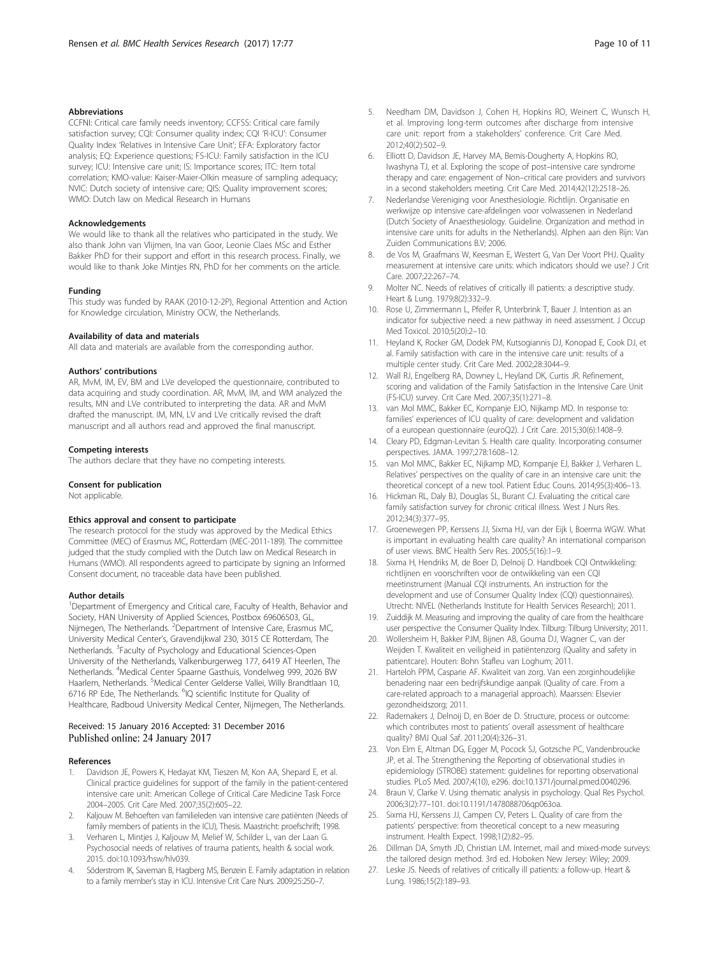#### <span id="page-10-0"></span>Abbreviations

CCFNI: Critical care family needs inventory; CCFSS: Critical care family satisfaction survey; CQI: Consumer quality index; CQI 'R-ICU': Consumer Quality Index 'Relatives in Intensive Care Unit'; EFA: Exploratory factor analysis; EQ: Experience questions; FS-ICU: Family satisfaction in the ICU survey; ICU: Intensive care unit; IS: Importance scores; ITC: Item total correlation; KMO-value: Kaiser-Maier-Olkin measure of sampling adequacy; NVIC: Dutch society of intensive care; QIS: Quality improvement scores; WMO: Dutch law on Medical Research in Humans

#### Acknowledgements

We would like to thank all the relatives who participated in the study. We also thank John van Vlijmen, Ina van Goor, Leonie Claes MSc and Esther Bakker PhD for their support and effort in this research process. Finally, we would like to thank Joke Mintjes RN, PhD for her comments on the article.

#### Funding

This study was funded by RAAK (2010-12-2P), Regional Attention and Action for Knowledge circulation, Ministry OCW, the Netherlands.

#### Availability of data and materials

All data and materials are available from the corresponding author.

#### Authors' contributions

AR, MvM, IM, EV, BM and LVe developed the questionnaire, contributed to data acquiring and study coordination. AR, MvM, IM, and WM analyzed the results, MN and LVe contributed to interpreting the data. AR and MvM drafted the manuscript. IM, MN, LV and LVe critically revised the draft manuscript and all authors read and approved the final manuscript.

#### Competing interests

The authors declare that they have no competing interests.

#### Consent for publication

Not applicable.

#### Ethics approval and consent to participate

The research protocol for the study was approved by the Medical Ethics Committee (MEC) of Erasmus MC, Rotterdam (MEC-2011-189). The committee judged that the study complied with the Dutch law on Medical Research in Humans (WMO). All respondents agreed to participate by signing an Informed Consent document, no traceable data have been published.

#### Author details

<sup>1</sup>Department of Emergency and Critical care, Faculty of Health, Behavior and Society, HAN University of Applied Sciences, Postbox 69606503, GL, Nijmegen, The Netherlands. <sup>2</sup> Department of Intensive Care, Erasmus MC, University Medical Center's, Gravendijkwal 230, 3015 CE Rotterdam, The Netherlands. <sup>3</sup>Faculty of Psychology and Educational Sciences-Open University of the Netherlands, Valkenburgerweg 177, 6419 AT Heerlen, The Netherlands. <sup>4</sup> Medical Center Spaarne Gasthuis, Vondelweg 999, 2026 BW Haarlem, Netherlands. <sup>5</sup>Medical Center Gelderse Vallei, Willy Brandtlaan 10, 6716 RP Ede, The Netherlands. <sup>6</sup>IQ scientific Institute for Quality of Healthcare, Radboud University Medical Center, Nijmegen, The Netherlands.

#### Received: 15 January 2016 Accepted: 31 December 2016 Published online: 24 January 2017

#### References

- 1. Davidson JE, Powers K, Hedayat KM, Tieszen M, Kon AA, Shepard E, et al. Clinical practice guidelines for support of the family in the patient-centered intensive care unit: American College of Critical Care Medicine Task Force 2004–2005. Crit Care Med. 2007;35(2):605–22.
- 2. Kaljouw M. Behoeften van familieleden van intensive care patiënten (Needs of family members of patients in the ICU), Thesis. Maastricht: proefschrift; 1998.
- 3. Verharen L, Mintjes J, Kaljouw M, Melief W, Schilder L, van der Laan G. Psychosocial needs of relatives of trauma patients, health & social work. 2015. doi:[10.1093/hsw/hlv039.](http://dx.doi.org/10.1093/hsw/hlv039)
- 4. Söderstrom IK, Saveman B, Hagberg MS, Benzein E. Family adaptation in relation to a family member's stay in ICU. Intensive Crit Care Nurs. 2009;25:250–7.
- 5. Needham DM, Davidson J, Cohen H, Hopkins RO, Weinert C, Wunsch H, et al. Improving long-term outcomes after discharge from intensive care unit: report from a stakeholders' conference. Crit Care Med. 2012;40(2):502–9.
- 6. Elliott D, Davidson JE, Harvey MA, Bemis-Dougherty A, Hopkins RO, Iwashyna TJ, et al. Exploring the scope of post–intensive care syndrome therapy and care: engagement of Non–critical care providers and survivors in a second stakeholders meeting. Crit Care Med. 2014;42(12):2518–26.
- 7. Nederlandse Vereniging voor Anesthesiologie. Richtlijn. Organisatie en werkwijze op intensive care-afdelingen voor volwassenen in Nederland (Dutch Society of Anaesthesiology. Guideline. Organization and method in intensive care units for adults in the Netherlands). Alphen aan den Rijn: Van Zuiden Communications B.V; 2006.
- 8. de Vos M, Graafmans W, Keesman E, Westert G, Van Der Voort PHJ. Quality measurement at intensive care units: which indicators should we use? J Crit Care. 2007;22:267–74.
- 9. Molter NC. Needs of relatives of critically ill patients: a descriptive study. Heart & Lung. 1979;8(2):332–9.
- 10. Rose U, Zimmermann L, Pfeifer R, Unterbrink T, Bauer J. Intention as an indicator for subjective need: a new pathway in need assessment. J Occup Med Toxicol. 2010;5(20):2–10.
- 11. Heyland K, Rocker GM, Dodek PM, Kutsogiannis DJ, Konopad E, Cook DJ, et al. Family satisfaction with care in the intensive care unit: results of a multiple center study. Crit Care Med. 2002;28:3044–9.
- 12. Wall RJ, Engelberg RA, Downey L, Heyland DK, Curtis JR. Refinement, scoring and validation of the Family Satisfaction in the Intensive Care Unit (FS-ICU) survey. Crit Care Med. 2007;35(1):271–8.
- 13. van Mol MMC, Bakker EC, Kompanje EJO, Nijkamp MD. In response to: families' experiences of ICU quality of care: development and validation of a european questionnaire (euroQ2). J Crit Care. 2015;30(6):1408–9.
- 14. Cleary PD, Edgman-Levitan S. Health care quality. Incorporating consumer perspectives. JAMA. 1997;278:1608–12.
- 15. van Mol MMC, Bakker EC, Nijkamp MD, Kompanje EJ, Bakker J, Verharen L. Relatives' perspectives on the quality of care in an intensive care unit: the theoretical concept of a new tool. Patient Educ Couns. 2014;95(3):406–13.
- 16. Hickman RL, Daly BJ, Douglas SL, Burant CJ. Evaluating the critical care family satisfaction survey for chronic critical illness. West J Nurs Res. 2012;34(3):377–95.
- 17. Groenewegen PP, Kerssens JJ, Sixma HJ, van der Eijk I, Boerma WGW. What is important in evaluating health care quality? An international comparison of user views. BMC Health Serv Res. 2005;5(16):1–9.
- 18. Sixma H, Hendriks M, de Boer D, Delnoij D. Handboek CQI Ontwikkeling: richtlijnen en voorschriften voor de ontwikkeling van een CQI meetinstrument (Manual CQI instruments. An instruction for the development and use of Consumer Quality Index (CQI) questionnaires). Utrecht: NIVEL (Netherlands Institute for Health Services Research); 2011.
- 19. Zuiddijk M. Measuring and improving the quality of care from the healthcare user perspective: the Consumer Quality Index. Tilburg: Tilburg University; 2011.
- 20. Wollersheim H, Bakker PJM, Bijnen AB, Gouma DJ, Wagner C, van der Weijden T. Kwaliteit en veiligheid in patiëntenzorg (Quality and safety in patientcare). Houten: Bohn Stafleu van Loghum; 2011.
- 21. Harteloh PPM, Casparie AF. Kwaliteit van zorg. Van een zorginhoudelijke benadering naar een bedrijfskundige aanpak (Quality of care. From a care-related approach to a managerial approach). Maarssen: Elsevier gezondheidszorg; 2011.
- 22. Rademakers J, Delnoij D, en Boer de D. Structure, process or outcome: which contributes most to patients' overall assessment of healthcare quality? BMJ Qual Saf. 2011;20(4):326–31.
- 23. Von Elm E, Altman DG, Egger M, Pocock SJ, Gotzsche PC, Vandenbroucke JP, et al. The Strengthening the Reporting of observational studies in epidemiology (STROBE) statement: guidelines for reporting observational studies. PLoS Med. 2007;4(10), e296. doi[:10.1371/journal.pmed.0040296](http://dx.doi.org/10.1371/journal.pmed.0040296).
- 24. Braun V, Clarke V. Using thematic analysis in psychology. Qual Res Psychol. 2006;3(2):77–101. doi:[10.1191/1478088706qp063oa.](http://dx.doi.org/10.1191/1478088706qp063oa)
- 25. Sixma HJ, Kerssens JJ, Campen CV, Peters L. Quality of care from the patients' perspective: from theoretical concept to a new measuring instrument. Health Expect. 1998;1(2):82–95.
- 26. Dillman DA, Smyth JD, Christian LM. Internet, mail and mixed-mode surveys: the tailored design method. 3rd ed. Hoboken New Jersey: Wiley; 2009.
- 27. Leske JS. Needs of relatives of critically ill patients: a follow-up. Heart & Lung. 1986;15(2):189–93.